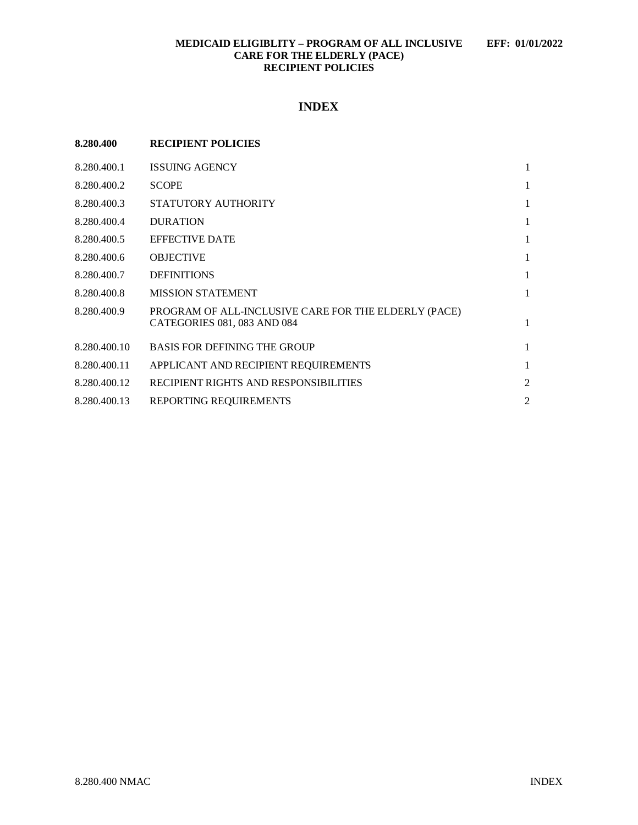## **MEDICAID ELIGIBLITY – PROGRAM OF ALL INCLUSIVE EFF: 01/01/2022 CARE FOR THE ELDERLY (PACE) RECIPIENT POLICIES**

# **INDEX**

| 8.280.400    | <b>RECIPIENT POLICIES</b>                                                           |                |
|--------------|-------------------------------------------------------------------------------------|----------------|
| 8.280.400.1  | <b>ISSUING AGENCY</b>                                                               | 1              |
| 8.280.400.2  | <b>SCOPE</b>                                                                        | 1              |
| 8.280.400.3  | STATUTORY AUTHORITY                                                                 | 1              |
| 8.280.400.4  | <b>DURATION</b>                                                                     | 1              |
| 8.280.400.5  | <b>EFFECTIVE DATE</b>                                                               | 1              |
| 8.280.400.6  | <b>OBJECTIVE</b>                                                                    | 1              |
| 8.280.400.7  | <b>DEFINITIONS</b>                                                                  | 1              |
| 8.280.400.8  | <b>MISSION STATEMENT</b>                                                            | 1              |
| 8.280.400.9  | PROGRAM OF ALL-INCLUSIVE CARE FOR THE ELDERLY (PACE)<br>CATEGORIES 081, 083 AND 084 | 1              |
| 8.280.400.10 | <b>BASIS FOR DEFINING THE GROUP</b>                                                 | 1              |
| 8.280.400.11 | APPLICANT AND RECIPIENT REQUIREMENTS                                                | 1              |
| 8.280.400.12 | RECIPIENT RIGHTS AND RESPONSIBILITIES                                               | $\overline{2}$ |
| 8.280.400.13 | REPORTING REQUIREMENTS                                                              | $\overline{c}$ |
|              |                                                                                     |                |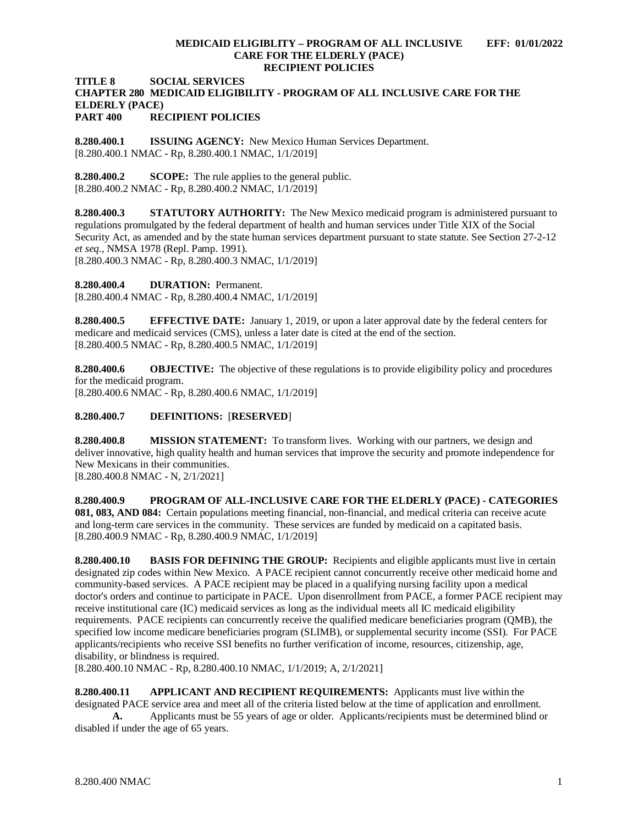#### **MEDICAID ELIGIBLITY – PROGRAM OF ALL INCLUSIVE EFF: 01/01/2022 CARE FOR THE ELDERLY (PACE) RECIPIENT POLICIES**

#### **TITLE 8 SOCIAL SERVICES CHAPTER 280 MEDICAID ELIGIBILITY - PROGRAM OF ALL INCLUSIVE CARE FOR THE ELDERLY (PACE) PART 400 RECIPIENT POLICIES**

<span id="page-1-0"></span>**8.280.400.1 ISSUING AGENCY:** New Mexico Human Services Department. [8.280.400.1 NMAC - Rp, 8.280.400.1 NMAC, 1/1/2019]

<span id="page-1-1"></span>**8.280.400.2 SCOPE:** The rule applies to the general public. [8.280.400.2 NMAC - Rp, 8.280.400.2 NMAC, 1/1/2019]

<span id="page-1-2"></span>**8.280.400.3 STATUTORY AUTHORITY:** The New Mexico medicaid program is administered pursuant to regulations promulgated by the federal department of health and human services under Title XIX of the Social Security Act, as amended and by the state human services department pursuant to state statute. See Section 27-2-12 *et seq*., NMSA 1978 (Repl. Pamp. 1991).

[8.280.400.3 NMAC - Rp, 8.280.400.3 NMAC, 1/1/2019]

<span id="page-1-3"></span>**8.280.400.4 DURATION:** Permanent.

[8.280.400.4 NMAC - Rp, 8.280.400.4 NMAC, 1/1/2019]

<span id="page-1-4"></span>**8.280.400.5 EFFECTIVE DATE:** January 1, 2019, or upon a later approval date by the federal centers for medicare and medicaid services (CMS), unless a later date is cited at the end of the section. [8.280.400.5 NMAC - Rp, 8.280.400.5 NMAC, 1/1/2019]

<span id="page-1-5"></span>**8.280.400.6 OBJECTIVE:** The objective of these regulations is to provide eligibility policy and procedures for the medicaid program. [8.280.400.6 NMAC - Rp, 8.280.400.6 NMAC, 1/1/2019]

# <span id="page-1-6"></span>**8.280.400.7 DEFINITIONS:** [**RESERVED**]

<span id="page-1-7"></span>**8.280.400.8 MISSION STATEMENT:** To transform lives. Working with our partners, we design and deliver innovative, high quality health and human services that improve the security and promote independence for New Mexicans in their communities. [8.280.400.8 NMAC - N, 2/1/2021]

<span id="page-1-8"></span>**8.280.400.9 PROGRAM OF ALL-INCLUSIVE CARE FOR THE ELDERLY (PACE) - CATEGORIES 081, 083, AND 084:** Certain populations meeting financial, non-financial, and medical criteria can receive acute and long-term care services in the community. These services are funded by medicaid on a capitated basis. [8.280.400.9 NMAC - Rp, 8.280.400.9 NMAC, 1/1/2019]

<span id="page-1-9"></span>**8.280.400.10 BASIS FOR DEFINING THE GROUP:** Recipients and eligible applicants must live in certain designated zip codes within New Mexico. A PACE recipient cannot concurrently receive other medicaid home and community-based services. A PACE recipient may be placed in a qualifying nursing facility upon a medical doctor's orders and continue to participate in PACE. Upon disenrollment from PACE, a former PACE recipient may receive institutional care (IC) medicaid services as long as the individual meets all IC medicaid eligibility requirements. PACE recipients can concurrently receive the qualified medicare beneficiaries program (QMB), the specified low income medicare beneficiaries program (SLIMB), or supplemental security income (SSI). For PACE applicants/recipients who receive SSI benefits no further verification of income, resources, citizenship, age, disability, or blindness is required.

[8.280.400.10 NMAC - Rp, 8.280.400.10 NMAC, 1/1/2019; A, 2/1/2021]

<span id="page-1-10"></span>**8.280.400.11 APPLICANT AND RECIPIENT REQUIREMENTS:** Applicants must live within the designated PACE service area and meet all of the criteria listed below at the time of application and enrollment. **A.** Applicants must be 55 years of age or older. Applicants/recipients must be determined blind or disabled if under the age of 65 years.